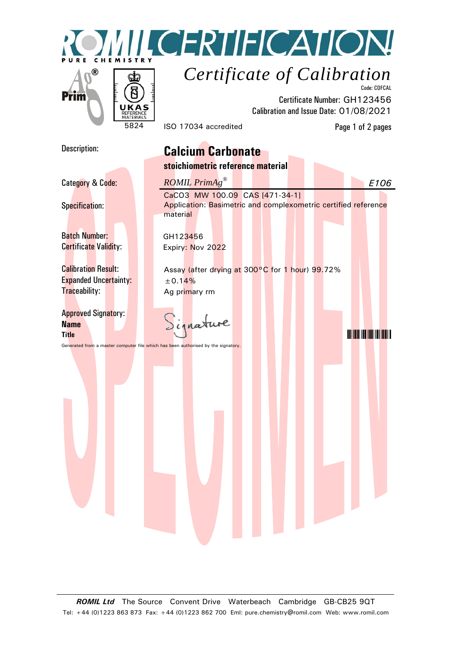



Code: COFCAL Certificate Number: GH123456 Calibration and Issue Date: 01/08/2021

5824 ISO 17034 accredited Page 1 of 2 pages